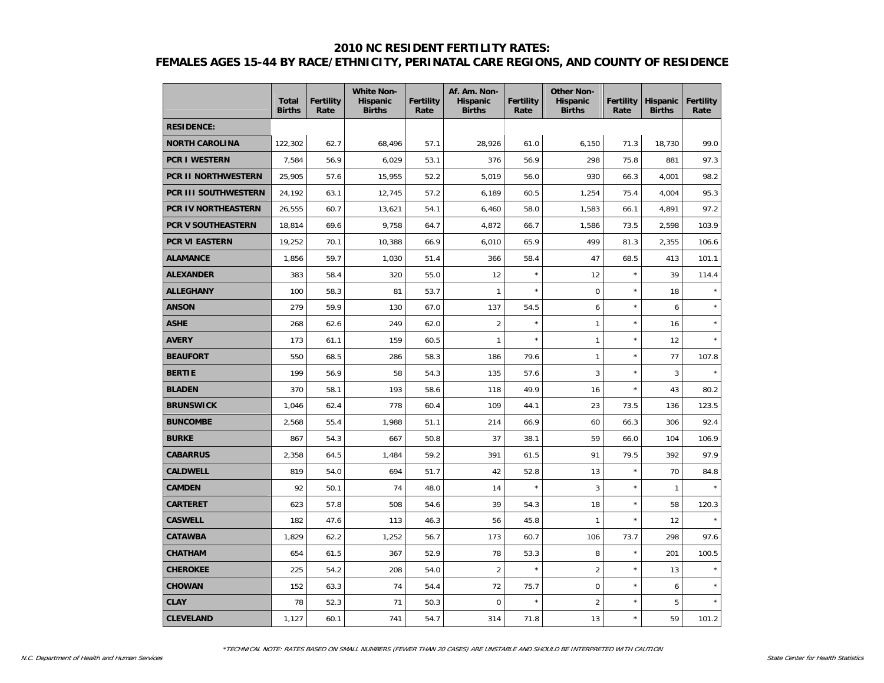#### **2010 NC RESIDENT FERTILITY RATES:**

# **FEMALES AGES 15-44 BY RACE/ETHNICITY, PERINATAL CARE REGIONS, AND COUNTY OF RESIDENCE**

|                            | <b>Total</b><br><b>Births</b> | <b>Fertility</b><br>Rate | <b>White Non-</b><br><b>Hispanic</b><br><b>Births</b> | <b>Fertility</b><br>Rate | Af. Am. Non-<br><b>Hispanic</b><br><b>Births</b> | <b>Fertility</b><br>Rate | <b>Other Non-</b><br>Hispanic<br><b>Births</b> | <b>Fertility</b><br>Rate | <b>Hispanic</b><br><b>Births</b> | <b>Fertility</b><br>Rate |
|----------------------------|-------------------------------|--------------------------|-------------------------------------------------------|--------------------------|--------------------------------------------------|--------------------------|------------------------------------------------|--------------------------|----------------------------------|--------------------------|
| <b>RESIDENCE:</b>          |                               |                          |                                                       |                          |                                                  |                          |                                                |                          |                                  |                          |
| <b>NORTH CAROLINA</b>      | 122,302                       | 62.7                     | 68,496                                                | 57.1                     | 28,926                                           | 61.0                     | 6,150                                          | 71.3                     | 18,730                           | 99.0                     |
| <b>PCR I WESTERN</b>       | 7,584                         | 56.9                     | 6,029                                                 | 53.1                     | 376                                              | 56.9                     | 298                                            | 75.8                     | 881                              | 97.3                     |
| <b>PCR II NORTHWESTERN</b> | 25,905                        | 57.6                     | 15,955                                                | 52.2                     | 5.019                                            | 56.0                     | 930                                            | 66.3                     | 4,001                            | 98.2                     |
| PCR III SOUTHWESTERN       | 24,192                        | 63.1                     | 12,745                                                | 57.2                     | 6,189                                            | 60.5                     | 1,254                                          | 75.4                     | 4,004                            | 95.3                     |
| PCR IV NORTHEASTERN        | 26,555                        | 60.7                     | 13,621                                                | 54.1                     | 6,460                                            | 58.0                     | 1,583                                          | 66.1                     | 4,891                            | 97.2                     |
| PCR V SOUTHEASTERN         | 18,814                        | 69.6                     | 9,758                                                 | 64.7                     | 4,872                                            | 66.7                     | 1,586                                          | 73.5                     | 2,598                            | 103.9                    |
| PCR VI EASTERN             | 19,252                        | 70.1                     | 10,388                                                | 66.9                     | 6,010                                            | 65.9                     | 499                                            | 81.3                     | 2,355                            | 106.6                    |
| <b>ALAMANCE</b>            | 1,856                         | 59.7                     | 1,030                                                 | 51.4                     | 366                                              | 58.4                     | 47                                             | 68.5                     | 413                              | 101.1                    |
| <b>ALEXANDER</b>           | 383                           | 58.4                     | 320                                                   | 55.0                     | 12                                               | $\star$                  | 12                                             | $\star$                  | 39                               | 114.4                    |
| <b>ALLEGHANY</b>           | 100                           | 58.3                     | 81                                                    | 53.7                     | $\mathbf{1}$                                     | $\star$                  | $\overline{0}$                                 | $\star$                  | 18                               | $\star$                  |
| <b>ANSON</b>               | 279                           | 59.9                     | 130                                                   | 67.0                     | 137                                              | 54.5                     | 6                                              | $\star$                  | 6                                |                          |
| <b>ASHE</b>                | 268                           | 62.6                     | 249                                                   | 62.0                     | $\overline{2}$                                   | $\star$                  | $\mathbf{1}$                                   | $\star$                  | 16                               | $\star$                  |
| <b>AVERY</b>               | 173                           | 61.1                     | 159                                                   | 60.5                     | $\mathbf{1}$                                     | $\star$                  | $\mathbf{1}$                                   | $\star$                  | 12                               |                          |
| <b>BEAUFORT</b>            | 550                           | 68.5                     | 286                                                   | 58.3                     | 186                                              | 79.6                     | $\mathbf{1}$                                   | $\star$                  | 77                               | 107.8                    |
| <b>BERTIE</b>              | 199                           | 56.9                     | 58                                                    | 54.3                     | 135                                              | 57.6                     | 3                                              | $\star$                  | 3                                |                          |
| <b>BLADEN</b>              | 370                           | 58.1                     | 193                                                   | 58.6                     | 118                                              | 49.9                     | 16                                             | $\star$                  | 43                               | 80.2                     |
| <b>BRUNSWICK</b>           | 1,046                         | 62.4                     | 778                                                   | 60.4                     | 109                                              | 44.1                     | 23                                             | 73.5                     | 136                              | 123.5                    |
| <b>BUNCOMBE</b>            | 2,568                         | 55.4                     | 1,988                                                 | 51.1                     | 214                                              | 66.9                     | 60                                             | 66.3                     | 306                              | 92.4                     |
| <b>BURKE</b>               | 867                           | 54.3                     | 667                                                   | 50.8                     | 37                                               | 38.1                     | 59                                             | 66.0                     | 104                              | 106.9                    |
| <b>CABARRUS</b>            | 2,358                         | 64.5                     | 1,484                                                 | 59.2                     | 391                                              | 61.5                     | 91                                             | 79.5                     | 392                              | 97.9                     |
| <b>CALDWELL</b>            | 819                           | 54.0                     | 694                                                   | 51.7                     | 42                                               | 52.8                     | 13                                             | $\star$                  | 70                               | 84.8                     |
| <b>CAMDEN</b>              | 92                            | 50.1                     | 74                                                    | 48.0                     | 14                                               | $\star$                  | 3                                              | $\star$                  | $\mathbf{1}$                     | $\star$                  |
| <b>CARTERET</b>            | 623                           | 57.8                     | 508                                                   | 54.6                     | 39                                               | 54.3                     | 18                                             | $\star$                  | 58                               | 120.3                    |
| <b>CASWELL</b>             | 182                           | 47.6                     | 113                                                   | 46.3                     | 56                                               | 45.8                     | $\mathbf{1}$                                   | $\star$                  | 12                               |                          |
| <b>CATAWBA</b>             | 1,829                         | 62.2                     | 1,252                                                 | 56.7                     | 173                                              | 60.7                     | 106                                            | 73.7                     | 298                              | 97.6                     |
| <b>CHATHAM</b>             | 654                           | 61.5                     | 367                                                   | 52.9                     | 78                                               | 53.3                     | 8                                              | $\star$                  | 201                              | 100.5                    |
| <b>CHEROKEE</b>            | 225                           | 54.2                     | 208                                                   | 54.0                     | $\overline{2}$                                   | $\star$                  | $\overline{2}$                                 | $\star$                  | 13                               | $\star$                  |
| <b>CHOWAN</b>              | 152                           | 63.3                     | 74                                                    | 54.4                     | 72                                               | 75.7                     | $\mathsf 0$                                    | $\star$                  | 6                                | $\star$                  |
| <b>CLAY</b>                | 78                            | 52.3                     | 71                                                    | 50.3                     | $\overline{0}$                                   | $\star$                  | $\overline{2}$                                 | $\star$                  | 5                                |                          |
| <b>CLEVELAND</b>           | 1,127                         | 60.1                     | 741                                                   | 54.7                     | 314                                              | 71.8                     | 13                                             | $\star$                  | 59                               | 101.2                    |

\*TECHNICAL NOTE: RATES BASED ON SMALL NUMBERS (FEWER THAN 20 CASES) ARE UNSTABLE AND SHOULD BE INTERPRETED WITH CAUTION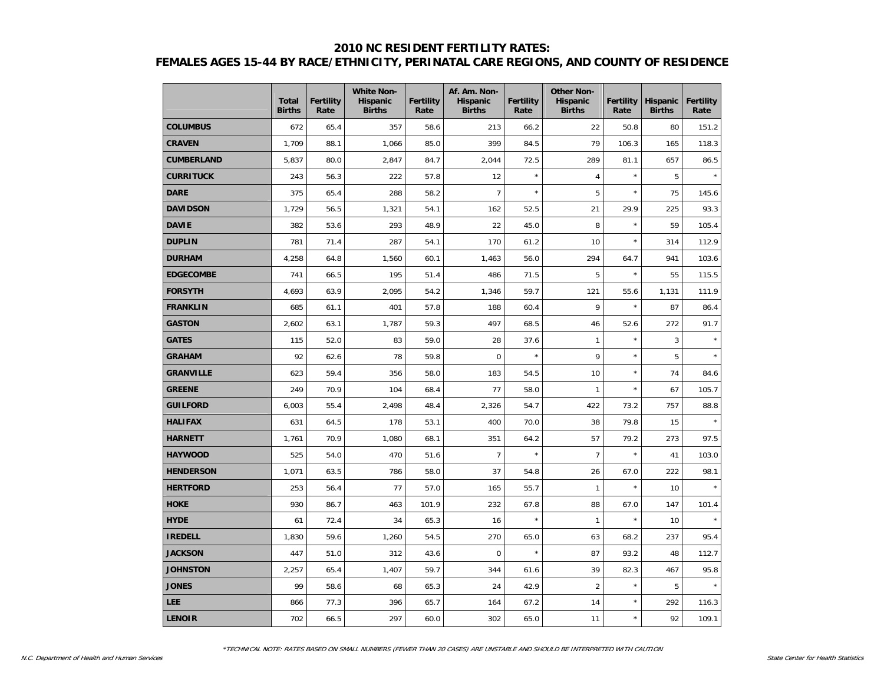## **2010 NC RESIDENT FERTILITY RATES: FEMALES AGES 15-44 BY RACE/ETHNICITY, PERINATAL CARE REGIONS, AND COUNTY OF RESIDENCE**

|                   | <b>Total</b><br><b>Births</b> | <b>Fertility</b><br>Rate | <b>White Non-</b><br><b>Hispanic</b><br><b>Births</b> | <b>Fertility</b><br>Rate | Af. Am. Non-<br><b>Hispanic</b><br><b>Births</b> | <b>Fertility</b><br>Rate | <b>Other Non-</b><br><b>Hispanic</b><br><b>Births</b> | Fertility<br>Rate | <b>Hispanic</b><br><b>Births</b> | <b>Fertility</b><br>Rate |
|-------------------|-------------------------------|--------------------------|-------------------------------------------------------|--------------------------|--------------------------------------------------|--------------------------|-------------------------------------------------------|-------------------|----------------------------------|--------------------------|
| <b>COLUMBUS</b>   | 672                           | 65.4                     | 357                                                   | 58.6                     | 213                                              | 66.2                     | 22                                                    | 50.8              | 80                               | 151.2                    |
| <b>CRAVEN</b>     | 1,709                         | 88.1                     | 1,066                                                 | 85.0                     | 399                                              | 84.5                     | 79                                                    | 106.3             | 165                              | 118.3                    |
| <b>CUMBERLAND</b> | 5,837                         | 80.0                     | 2,847                                                 | 84.7                     | 2,044                                            | 72.5                     | 289                                                   | 81.1              | 657                              | 86.5                     |
| <b>CURRITUCK</b>  | 243                           | 56.3                     | 222                                                   | 57.8                     | 12                                               |                          | 4                                                     | $\star$           | 5                                |                          |
| <b>DARE</b>       | 375                           | 65.4                     | 288                                                   | 58.2                     | $\overline{7}$                                   | $\star$                  | 5                                                     | $\star$           | 75                               | 145.6                    |
| <b>DAVIDSON</b>   | 1,729                         | 56.5                     | 1,321                                                 | 54.1                     | 162                                              | 52.5                     | 21                                                    | 29.9              | 225                              | 93.3                     |
| <b>DAVIE</b>      | 382                           | 53.6                     | 293                                                   | 48.9                     | 22                                               | 45.0                     | 8                                                     | $\star$           | 59                               | 105.4                    |
| <b>DUPLIN</b>     | 781                           | 71.4                     | 287                                                   | 54.1                     | 170                                              | 61.2                     | 10                                                    | $\star$           | 314                              | 112.9                    |
| <b>DURHAM</b>     | 4,258                         | 64.8                     | 1,560                                                 | 60.1                     | 1,463                                            | 56.0                     | 294                                                   | 64.7              | 941                              | 103.6                    |
| <b>EDGECOMBE</b>  | 741                           | 66.5                     | 195                                                   | 51.4                     | 486                                              | 71.5                     | 5                                                     | $\star$           | 55                               | 115.5                    |
| <b>FORSYTH</b>    | 4,693                         | 63.9                     | 2,095                                                 | 54.2                     | 1,346                                            | 59.7                     | 121                                                   | 55.6              | 1,131                            | 111.9                    |
| <b>FRANKLIN</b>   | 685                           | 61.1                     | 401                                                   | 57.8                     | 188                                              | 60.4                     | 9                                                     | $\star$           | 87                               | 86.4                     |
| <b>GASTON</b>     | 2,602                         | 63.1                     | 1,787                                                 | 59.3                     | 497                                              | 68.5                     | 46                                                    | 52.6              | 272                              | 91.7                     |
| <b>GATES</b>      | 115                           | 52.0                     | 83                                                    | 59.0                     | 28                                               | 37.6                     | $\mathbf{1}$                                          | $\star$           | 3                                | $\star$                  |
| GRAHAM            | 92                            | 62.6                     | 78                                                    | 59.8                     | $\mathbf 0$                                      | $\star$                  | 9                                                     | $\star$           | 5                                | $\star$                  |
| <b>GRANVILLE</b>  | 623                           | 59.4                     | 356                                                   | 58.0                     | 183                                              | 54.5                     | 10                                                    | $\star$           | 74                               | 84.6                     |
| <b>GREENE</b>     | 249                           | 70.9                     | 104                                                   | 68.4                     | 77                                               | 58.0                     | $\mathbf{1}$                                          | $\star$           | 67                               | 105.7                    |
| <b>GUILFORD</b>   | 6,003                         | 55.4                     | 2,498                                                 | 48.4                     | 2,326                                            | 54.7                     | 422                                                   | 73.2              | 757                              | 88.8                     |
| <b>HALIFAX</b>    | 631                           | 64.5                     | 178                                                   | 53.1                     | 400                                              | 70.0                     | 38                                                    | 79.8              | 15                               | $\star$                  |
| <b>HARNETT</b>    | 1,761                         | 70.9                     | 1,080                                                 | 68.1                     | 351                                              | 64.2                     | 57                                                    | 79.2              | 273                              | 97.5                     |
| <b>HAYWOOD</b>    | 525                           | 54.0                     | 470                                                   | 51.6                     | $\overline{7}$                                   | $\star$                  | $\overline{7}$                                        | $\star$           | 41                               | 103.0                    |
| <b>HENDERSON</b>  | 1,071                         | 63.5                     | 786                                                   | 58.0                     | 37                                               | 54.8                     | 26                                                    | 67.0              | 222                              | 98.1                     |
| <b>HERTFORD</b>   | 253                           | 56.4                     | 77                                                    | 57.0                     | 165                                              | 55.7                     | $\mathbf{1}$                                          | $\star$           | 10                               | $\star$                  |
| <b>HOKE</b>       | 930                           | 86.7                     | 463                                                   | 101.9                    | 232                                              | 67.8                     | 88                                                    | 67.0              | 147                              | 101.4                    |
| <b>HYDE</b>       | 61                            | 72.4                     | 34                                                    | 65.3                     | 16                                               | $\star$                  | $\mathbf{1}$                                          | $\star$           | 10                               | $\star$                  |
| <b>IREDELL</b>    | 1,830                         | 59.6                     | 1,260                                                 | 54.5                     | 270                                              | 65.0                     | 63                                                    | 68.2              | 237                              | 95.4                     |
| <b>JACKSON</b>    | 447                           | 51.0                     | 312                                                   | 43.6                     | $\Omega$                                         | $\star$                  | 87                                                    | 93.2              | 48                               | 112.7                    |
| <b>JOHNSTON</b>   | 2,257                         | 65.4                     | 1,407                                                 | 59.7                     | 344                                              | 61.6                     | 39                                                    | 82.3              | 467                              | 95.8                     |
| <b>JONES</b>      | 99                            | 58.6                     | 68                                                    | 65.3                     | 24                                               | 42.9                     | $\overline{2}$                                        | $\star$           | 5                                |                          |
| <b>LEE</b>        | 866                           | 77.3                     | 396                                                   | 65.7                     | 164                                              | 67.2                     | 14                                                    | $\star$           | 292                              | 116.3                    |
| <b>LENOIR</b>     | 702                           | 66.5                     | 297                                                   | 60.0                     | 302                                              | 65.0                     | 11                                                    | $\star$           | 92                               | 109.1                    |

\*TECHNICAL NOTE: RATES BASED ON SMALL NUMBERS (FEWER THAN 20 CASES) ARE UNSTABLE AND SHOULD BE INTERPRETED WITH CAUTION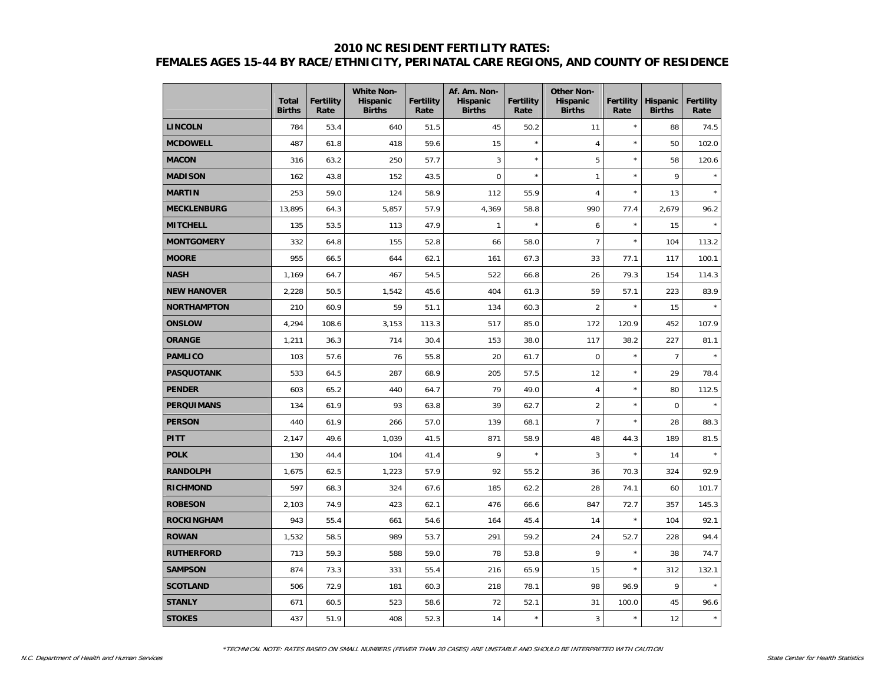## **2010 NC RESIDENT FERTILITY RATES: FEMALES AGES 15-44 BY RACE/ETHNICITY, PERINATAL CARE REGIONS, AND COUNTY OF RESIDENCE**

|                    | <b>Total</b><br><b>Births</b> | <b>Fertility</b><br>Rate | <b>White Non-</b><br><b>Hispanic</b><br><b>Births</b> | <b>Fertility</b><br>Rate | Af. Am. Non-<br><b>Hispanic</b><br><b>Births</b> | <b>Fertility</b><br>Rate | <b>Other Non-</b><br><b>Hispanic</b><br><b>Births</b> | <b>Fertility</b><br>Rate | <b>Hispanic</b><br><b>Births</b> | <b>Fertility</b><br>Rate |
|--------------------|-------------------------------|--------------------------|-------------------------------------------------------|--------------------------|--------------------------------------------------|--------------------------|-------------------------------------------------------|--------------------------|----------------------------------|--------------------------|
| <b>LINCOLN</b>     | 784                           | 53.4                     | 640                                                   | 51.5                     | 45                                               | 50.2                     | 11                                                    | $\star$                  | 88                               | 74.5                     |
| <b>MCDOWELL</b>    | 487                           | 61.8                     | 418                                                   | 59.6                     | 15                                               | $\star$                  | $\overline{4}$                                        | $\star$                  | 50                               | 102.0                    |
| <b>MACON</b>       | 316                           | 63.2                     | 250                                                   | 57.7                     | 3                                                | $\star$                  | 5                                                     | $\star$                  | 58                               | 120.6                    |
| <b>MADISON</b>     | 162                           | 43.8                     | 152                                                   | 43.5                     | $\mathbf 0$                                      | $\star$                  | $\mathbf{1}$                                          | $\star$                  | 9                                |                          |
| <b>MARTIN</b>      | 253                           | 59.0                     | 124                                                   | 58.9                     | 112                                              | 55.9                     | $\overline{4}$                                        | $\star$                  | 13                               |                          |
| <b>MECKLENBURG</b> | 13,895                        | 64.3                     | 5,857                                                 | 57.9                     | 4,369                                            | 58.8                     | 990                                                   | 77.4                     | 2,679                            | 96.2                     |
| <b>MITCHELL</b>    | 135                           | 53.5                     | 113                                                   | 47.9                     | $\mathbf{1}$                                     |                          | 6                                                     | $\star$                  | 15                               |                          |
| <b>MONTGOMERY</b>  | 332                           | 64.8                     | 155                                                   | 52.8                     | 66                                               | 58.0                     | $\overline{7}$                                        | $\star$                  | 104                              | 113.2                    |
| <b>MOORE</b>       | 955                           | 66.5                     | 644                                                   | 62.1                     | 161                                              | 67.3                     | 33                                                    | 77.1                     | 117                              | 100.1                    |
| <b>NASH</b>        | 1,169                         | 64.7                     | 467                                                   | 54.5                     | 522                                              | 66.8                     | 26                                                    | 79.3                     | 154                              | 114.3                    |
| <b>NEW HANOVER</b> | 2,228                         | 50.5                     | 1,542                                                 | 45.6                     | 404                                              | 61.3                     | 59                                                    | 57.1                     | 223                              | 83.9                     |
| <b>NORTHAMPTON</b> | 210                           | 60.9                     | 59                                                    | 51.1                     | 134                                              | 60.3                     | $\overline{2}$                                        | $\star$                  | 15                               |                          |
| <b>ONSLOW</b>      | 4,294                         | 108.6                    | 3,153                                                 | 113.3                    | 517                                              | 85.0                     | 172                                                   | 120.9                    | 452                              | 107.9                    |
| <b>ORANGE</b>      | 1,211                         | 36.3                     | 714                                                   | 30.4                     | 153                                              | 38.0                     | 117                                                   | 38.2                     | 227                              | 81.1                     |
| <b>PAMLICO</b>     | 103                           | 57.6                     | 76                                                    | 55.8                     | 20                                               | 61.7                     | $\mathbf 0$                                           | $\star$                  | $\overline{7}$                   |                          |
| <b>PASQUOTANK</b>  | 533                           | 64.5                     | 287                                                   | 68.9                     | 205                                              | 57.5                     | 12                                                    | $\star$                  | 29                               | 78.4                     |
| <b>PENDER</b>      | 603                           | 65.2                     | 440                                                   | 64.7                     | 79                                               | 49.0                     | $\sqrt{4}$                                            | $\star$                  | 80                               | 112.5                    |
| <b>PERQUIMANS</b>  | 134                           | 61.9                     | 93                                                    | 63.8                     | 39                                               | 62.7                     | $\overline{2}$                                        | $\star$                  | $\mathbf 0$                      | $\star$                  |
| <b>PERSON</b>      | 440                           | 61.9                     | 266                                                   | 57.0                     | 139                                              | 68.1                     | $\overline{7}$                                        | $\star$                  | 28                               | 88.3                     |
| <b>PITT</b>        | 2,147                         | 49.6                     | 1,039                                                 | 41.5                     | 871                                              | 58.9                     | 48                                                    | 44.3                     | 189                              | 81.5                     |
| <b>POLK</b>        | 130                           | 44.4                     | 104                                                   | 41.4                     | 9                                                |                          | 3                                                     | $\star$                  | 14                               |                          |
| <b>RANDOLPH</b>    | 1,675                         | 62.5                     | 1,223                                                 | 57.9                     | 92                                               | 55.2                     | 36                                                    | 70.3                     | 324                              | 92.9                     |
| <b>RICHMOND</b>    | 597                           | 68.3                     | 324                                                   | 67.6                     | 185                                              | 62.2                     | 28                                                    | 74.1                     | 60                               | 101.7                    |
| <b>ROBESON</b>     | 2,103                         | 74.9                     | 423                                                   | 62.1                     | 476                                              | 66.6                     | 847                                                   | 72.7                     | 357                              | 145.3                    |
| ROCKINGHAM         | 943                           | 55.4                     | 661                                                   | 54.6                     | 164                                              | 45.4                     | 14                                                    | $\star$                  | 104                              | 92.1                     |
| <b>ROWAN</b>       | 1,532                         | 58.5                     | 989                                                   | 53.7                     | 291                                              | 59.2                     | 24                                                    | 52.7                     | 228                              | 94.4                     |
| <b>RUTHERFORD</b>  | 713                           | 59.3                     | 588                                                   | 59.0                     | 78                                               | 53.8                     | 9                                                     | $\star$                  | 38                               | 74.7                     |
| <b>SAMPSON</b>     | 874                           | 73.3                     | 331                                                   | 55.4                     | 216                                              | 65.9                     | 15                                                    | $\star$                  | 312                              | 132.1                    |
| <b>SCOTLAND</b>    | 506                           | 72.9                     | 181                                                   | 60.3                     | 218                                              | 78.1                     | 98                                                    | 96.9                     | 9                                |                          |
| <b>STANLY</b>      | 671                           | 60.5                     | 523                                                   | 58.6                     | 72                                               | 52.1                     | 31                                                    | 100.0                    | 45                               | 96.6                     |
| <b>STOKES</b>      | 437                           | 51.9                     | 408                                                   | 52.3                     | 14                                               | $\star$                  | 3                                                     | $\star$                  | 12                               | $\star$                  |

\*TECHNICAL NOTE: RATES BASED ON SMALL NUMBERS (FEWER THAN 20 CASES) ARE UNSTABLE AND SHOULD BE INTERPRETED WITH CAUTION